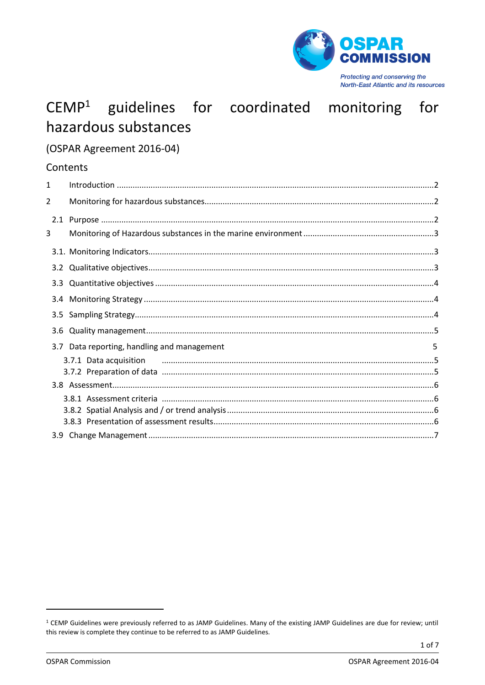

# CEMP<sup>1</sup> guidelines for coordinated monitoring for hazardous substances

# (OSPAR Agreement 2016-04)

# Contents

| $\mathbf{1}$     |                                                                                                                          |  |
|------------------|--------------------------------------------------------------------------------------------------------------------------|--|
| 2                |                                                                                                                          |  |
|                  |                                                                                                                          |  |
| 3                |                                                                                                                          |  |
|                  |                                                                                                                          |  |
|                  |                                                                                                                          |  |
| 3.3 <sub>2</sub> |                                                                                                                          |  |
|                  |                                                                                                                          |  |
|                  |                                                                                                                          |  |
| 3.6              |                                                                                                                          |  |
|                  | 3.7 Data reporting, handling and management<br>5                                                                         |  |
|                  | 3.7.1 Data acquisition <i>manufacture content content in the content of the content of the content of the content of</i> |  |
|                  |                                                                                                                          |  |
|                  |                                                                                                                          |  |
|                  |                                                                                                                          |  |

<sup>&</sup>lt;sup>1</sup> CEMP Guidelines were previously referred to as JAMP Guidelines. Many of the existing JAMP Guidelines are due for review; until this review is complete they continue to be referred to as JAMP Guidelines.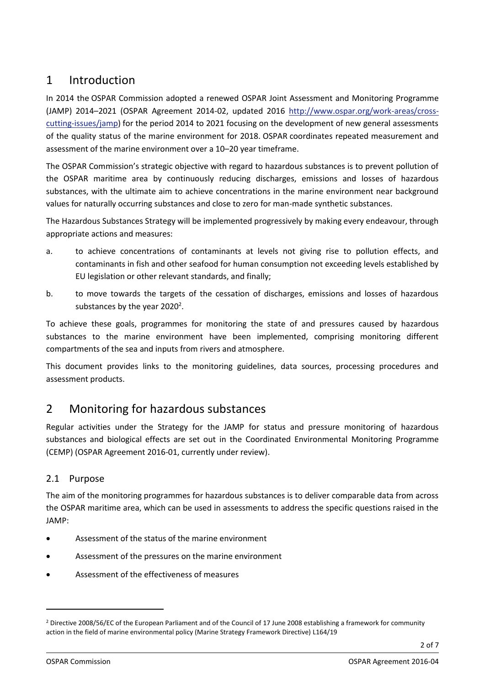# <span id="page-1-0"></span>1 Introduction

In 2014 the OSPAR Commission adopted a renewed OSPAR Joint Assessment and Monitoring Programme (JAMP) 2014–2021 (OSPAR Agreement 2014-02, updated 2016 [http://www.ospar.org/work-areas/cross](http://www.ospar.org/work-areas/cross-cutting-issues/jamp)[cutting-issues/jamp\)](http://www.ospar.org/work-areas/cross-cutting-issues/jamp) for the period 2014 to 2021 focusing on the development of new general assessments of the quality status of the marine environment for 2018. OSPAR coordinates repeated measurement and assessment of the marine environment over a 10–20 year timeframe.

The OSPAR Commission's strategic objective with regard to hazardous substances is to prevent pollution of the OSPAR maritime area by continuously reducing discharges, emissions and losses of hazardous substances, with the ultimate aim to achieve concentrations in the marine environment near background values for naturally occurring substances and close to zero for man-made synthetic substances.

The Hazardous Substances Strategy will be implemented progressively by making every endeavour, through appropriate actions and measures:

- a. to achieve concentrations of contaminants at levels not giving rise to pollution effects, and contaminants in fish and other seafood for human consumption not exceeding levels established by EU legislation or other relevant standards, and finally;
- b. to move towards the targets of the cessation of discharges, emissions and losses of hazardous substances by the year  $2020^2$ .

To achieve these goals, programmes for monitoring the state of and pressures caused by hazardous substances to the marine environment have been implemented, comprising monitoring different compartments of the sea and inputs from rivers and atmosphere.

This document provides links to the monitoring guidelines, data sources, processing procedures and assessment products.

# <span id="page-1-1"></span>2 Monitoring for hazardous substances

Regular activities under the Strategy for the JAMP for status and pressure monitoring of hazardous substances and biological effects are set out in the Coordinated Environmental Monitoring Programme (CEMP) (OSPAR Agreement 2016-01, currently under review).

# <span id="page-1-2"></span>2.1 Purpose

The aim of the monitoring programmes for hazardous substances is to deliver comparable data from across the OSPAR maritime area, which can be used in assessments to address the specific questions raised in the JAMP:

- Assessment of the status of the marine environment
- Assessment of the pressures on the marine environment
- Assessment of the effectiveness of measures

1

<sup>2</sup> Directive 2008/56/EC of the European Parliament and of the Council of 17 June 2008 establishing a framework for community action in the field of marine environmental policy (Marine Strategy Framework Directive) L164/19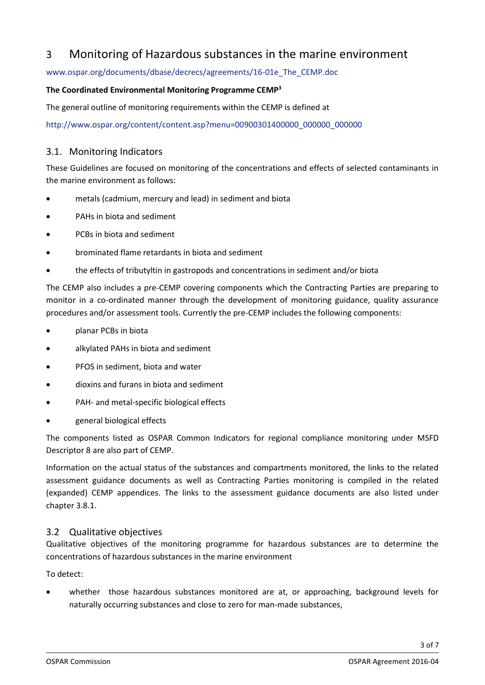# <span id="page-2-0"></span>3 Monitoring of Hazardous substances in the marine environment

[www.ospar.org/documents/dbase/decrecs/agreements/16-01e\\_The\\_CEMP.doc](http://www.ospar.org/documents/dbase/decrecs/agreements/16-01e_The_CEMP.doc)

#### **The Coordinated Environmental Monitoring Programme CEMP<sup>3</sup>**

The general outline of monitoring requirements within the CEMP is defined at

[http://www.ospar.org/content/content.asp?menu=00900301400000\\_000000\\_000000](http://www.ospar.org/content/content.asp?menu=00900301400000_000000_000000)

### <span id="page-2-1"></span>3.1. Monitoring Indicators

These Guidelines are focused on monitoring of the concentrations and effects of selected contaminants in the marine environment as follows:

- metals (cadmium, mercury and lead) in sediment and biota
- PAHs in biota and sediment
- PCBs in biota and sediment
- brominated flame retardants in biota and sediment
- the effects of tributyltin in gastropods and concentrations in sediment and/or biota

The CEMP also includes a pre-CEMP covering components which the Contracting Parties are preparing to monitor in a co-ordinated manner through the development of monitoring guidance, quality assurance procedures and/or assessment tools. Currently the pre-CEMP includes the following components:

- planar PCBs in biota
- alkylated PAHs in biota and sediment
- PFOS in sediment, biota and water
- dioxins and furans in biota and sediment
- PAH- and metal-specific biological effects
- general biological effects

The components listed as OSPAR Common Indicators for regional compliance monitoring under MSFD Descriptor 8 are also part of CEMP.

Information on the actual status of the substances and compartments monitored, the links to the related assessment guidance documents as well as Contracting Parties monitoring is compiled in the related (expanded) CEMP appendices. The links to the assessment guidance documents are also listed under chapter 3.8.1.

# <span id="page-2-2"></span>3.2 Qualitative objectives

Qualitative objectives of the monitoring programme for hazardous substances are to determine the concentrations of hazardous substances in the marine environment

To detect:

 whether those hazardous substances monitored are at, or approaching, background levels for naturally occurring substances and close to zero for man-made substances,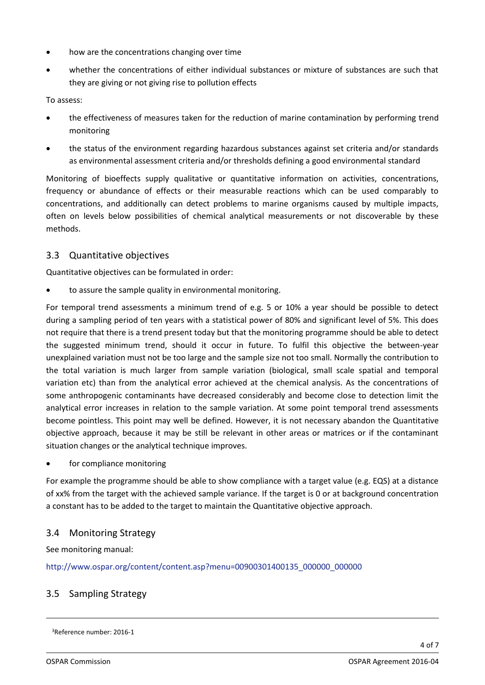- how are the concentrations changing over time
- whether the concentrations of either individual substances or mixture of substances are such that they are giving or not giving rise to pollution effects

To assess:

- the effectiveness of measures taken for the reduction of marine contamination by performing trend monitoring
- the status of the environment regarding hazardous substances against set criteria and/or standards as environmental assessment criteria and/or thresholds defining a good environmental standard

Monitoring of bioeffects supply qualitative or quantitative information on activities, concentrations, frequency or abundance of effects or their measurable reactions which can be used comparably to concentrations, and additionally can detect problems to marine organisms caused by multiple impacts, often on levels below possibilities of chemical analytical measurements or not discoverable by these methods.

#### <span id="page-3-0"></span>3.3 Quantitative objectives

Quantitative objectives can be formulated in order:

to assure the sample quality in environmental monitoring.

For temporal trend assessments a minimum trend of e.g. 5 or 10% a year should be possible to detect during a sampling period of ten years with a statistical power of 80% and significant level of 5%. This does not require that there is a trend present today but that the monitoring programme should be able to detect the suggested minimum trend, should it occur in future. To fulfil this objective the between-year unexplained variation must not be too large and the sample size not too small. Normally the contribution to the total variation is much larger from sample variation (biological, small scale spatial and temporal variation etc) than from the analytical error achieved at the chemical analysis. As the concentrations of some anthropogenic contaminants have decreased considerably and become close to detection limit the analytical error increases in relation to the sample variation. At some point temporal trend assessments become pointless. This point may well be defined. However, it is not necessary abandon the Quantitative objective approach, because it may be still be relevant in other areas or matrices or if the contaminant situation changes or the analytical technique improves.

• for compliance monitoring

For example the programme should be able to show compliance with a target value (e.g. EQS) at a distance of xx% from the target with the achieved sample variance. If the target is 0 or at background concentration a constant has to be added to the target to maintain the Quantitative objective approach.

#### <span id="page-3-1"></span>3.4 Monitoring Strategy

See monitoring manual:

[http://www.ospar.org/content/content.asp?menu=00900301400135\\_000000\\_000000](http://www.ospar.org/content/content.asp?menu=00900301400135_000000_000000)

# <span id="page-3-2"></span>3.5 Sampling Strategy

3Reference number: 2016-1

-

4 of 7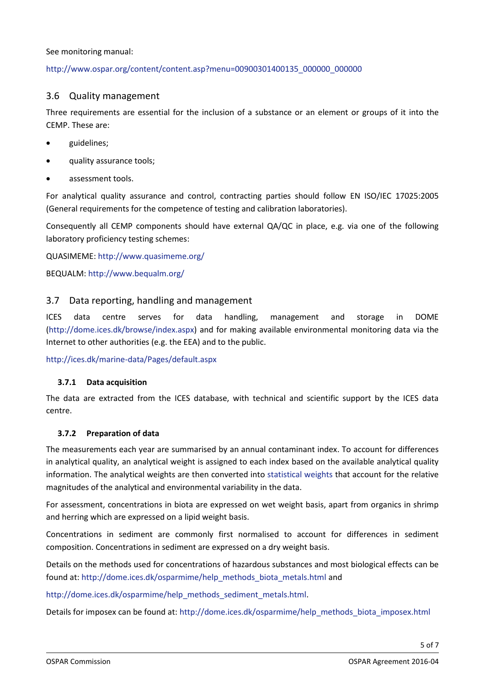See monitoring manual:

## [http://www.ospar.org/content/content.asp?menu=00900301400135\\_000000\\_000000](http://www.ospar.org/content/content.asp?menu=00900301400135_000000_000000)

## <span id="page-4-0"></span>3.6 Quality management

Three requirements are essential for the inclusion of a substance or an element or groups of it into the CEMP. These are:

- guidelines;
- quality assurance tools;
- assessment tools.

For analytical quality assurance and control, contracting parties should follow EN ISO/IEC 17025:2005 (General requirements for the competence of testing and calibration laboratories).

Consequently all CEMP components should have external QA/QC in place, e.g. via one of the following laboratory proficiency testing schemes:

QUASIMEME:<http://www.quasimeme.org/>

BEQUALM:<http://www.bequalm.org/>

# <span id="page-4-1"></span>3.7 Data reporting, handling and management

ICES data centre serves for data handling, management and storage in DOME [\(http://dome.ices.dk/browse/index.aspx\)](http://dome.ices.dk/browse/index.aspx) and for making available environmental monitoring data via the Internet to other authorities (e.g. the EEA) and to the public.

<http://ices.dk/marine-data/Pages/default.aspx>

#### <span id="page-4-2"></span>**3.7.1 Data acquisition**

The data are extracted from the ICES database, with technical and scientific support by the ICES data centre.

#### <span id="page-4-3"></span>**3.7.2 Preparation of data**

The measurements each year are summarised by an annual contaminant index. To account for differences in analytical quality, an analytical weight is assigned to each index based on the available analytical quality information. The analytical weights are then converted into [statistical weights](http://dome.ices.dk/osparmime/help_methods_biota_metals.html#StatWeights) that account for the relative magnitudes of the analytical and environmental variability in the data.

For assessment, concentrations in biota are expressed on wet weight basis, apart from organics in shrimp and herring which are expressed on a lipid weight basis.

Concentrations in sediment are commonly first normalised to account for differences in sediment composition. Concentrations in sediment are expressed on a dry weight basis.

Details on the methods used for concentrations of hazardous substances and most biological effects can be found at: [http://dome.ices.dk/osparmime/help\\_methods\\_biota\\_metals.html](http://dome.ices.dk/osparmime/help_methods_biota_metals.html) and

[http://dome.ices.dk/osparmime/help\\_methods\\_sediment\\_metals.html.](http://dome.ices.dk/osparmime/help_methods_sediment_metals.html)

Details for imposex can be found at: [http://dome.ices.dk/osparmime/help\\_methods\\_biota\\_imposex.html](http://dome.ices.dk/osparmime/help_methods_biota_imposex.html)

5 of 7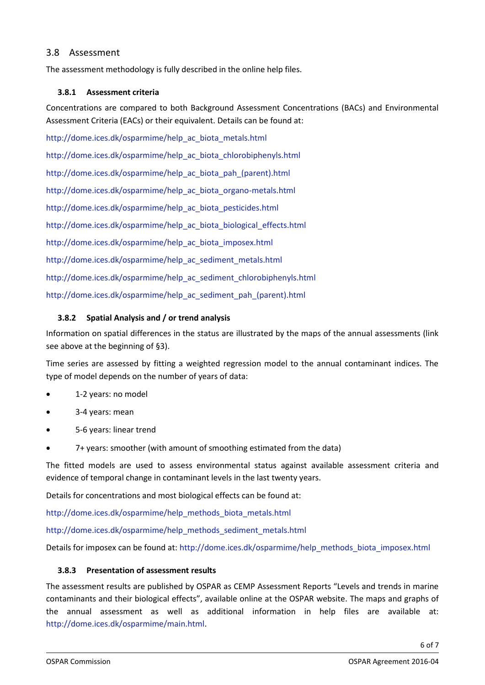# <span id="page-5-0"></span>3.8 Assessment

The assessment methodology is fully described in the online help files.

### <span id="page-5-1"></span>**3.8.1 Assessment criteria**

Concentrations are compared to both Background Assessment Concentrations (BACs) and Environmental Assessment Criteria (EACs) or their equivalent. Details can be found at:

[http://dome.ices.dk/osparmime/help\\_ac\\_biota\\_metals.html](http://dome.ices.dk/osparmime/help_ac_biota_metals.html) [http://dome.ices.dk/osparmime/help\\_ac\\_biota\\_chlorobiphenyls.html](http://dome.ices.dk/osparmime/help_ac_biota_chlorobiphenyls.html)

[http://dome.ices.dk/osparmime/help\\_ac\\_biota\\_pah\\_\(parent\).html](http://dome.ices.dk/osparmime/help_ac_biota_pah_(parent).html)

[http://dome.ices.dk/osparmime/help\\_ac\\_biota\\_organo-metals.html](http://dome.ices.dk/osparmime/help_ac_biota_organo-metals.html)

[http://dome.ices.dk/osparmime/help\\_ac\\_biota\\_pesticides.html](http://dome.ices.dk/osparmime/help_ac_biota_pesticides.html)

[http://dome.ices.dk/osparmime/help\\_ac\\_biota\\_biological\\_effects.html](http://dome.ices.dk/osparmime/help_ac_biota_biological_effects.html)

[http://dome.ices.dk/osparmime/help\\_ac\\_biota\\_imposex.html](http://dome.ices.dk/osparmime/help_ac_biota_imposex.html)

[http://dome.ices.dk/osparmime/help\\_ac\\_sediment\\_metals.html](http://dome.ices.dk/osparmime/help_ac_sediment_metals.html)

[http://dome.ices.dk/osparmime/help\\_ac\\_sediment\\_chlorobiphenyls.html](http://dome.ices.dk/osparmime/help_ac_sediment_chlorobiphenyls.html)

[http://dome.ices.dk/osparmime/help\\_ac\\_sediment\\_pah\\_\(parent\).html](http://dome.ices.dk/osparmime/help_ac_sediment_pah_(parent).html)

## <span id="page-5-2"></span>**3.8.2 Spatial Analysis and / or trend analysis**

Information on spatial differences in the status are illustrated by the maps of the annual assessments (link see above at the beginning of §3).

Time series are assessed by fitting a weighted regression model to the annual contaminant indices. The type of model depends on the number of years of data:

- 1-2 years: no model
- 3-4 years: mean
- 5-6 years: linear trend
- 7+ years: smoother (with amount of smoothing estimated from the data)

The fitted models are used to assess environmental status against available assessment criteria and evidence of temporal change in contaminant levels in the last twenty years.

Details for concentrations and most biological effects can be found at:

[http://dome.ices.dk/osparmime/help\\_methods\\_biota\\_metals.html](http://dome.ices.dk/osparmime/help_methods_biota_metals.html)

[http://dome.ices.dk/osparmime/help\\_methods\\_sediment\\_metals.html](http://dome.ices.dk/osparmime/help_methods_sediment_metals.html)

Details for imposex can be found at: [http://dome.ices.dk/osparmime/help\\_methods\\_biota\\_imposex.html](http://dome.ices.dk/osparmime/help_methods_biota_imposex.html)

#### <span id="page-5-3"></span>**3.8.3 Presentation of assessment results**

The assessment results are published by OSPAR as CEMP Assessment Reports "Levels and trends in marine contaminants and their biological effects", available online at the OSPAR website. The maps and graphs of the annual assessment as well as additional information in help files are available at: [http://dome.ices.dk/osparmime/main.html.](http://dome.ices.dk/osparmime/main.html)